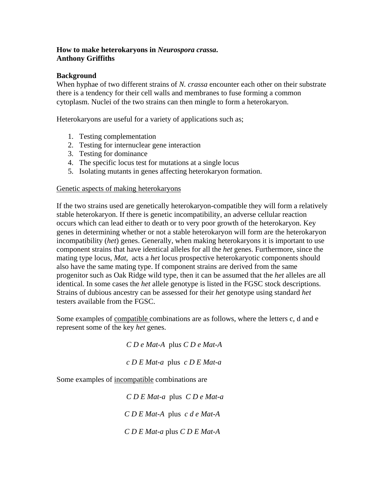## **How to make heterokaryons in** *Neurospora crassa***. Anthony Griffiths**

## **Background**

When hyphae of two different strains of *N. crassa* encounter each other on their substrate there is a tendency for their cell walls and membranes to fuse forming a common cytoplasm. Nuclei of the two strains can then mingle to form a heterokaryon.

Heterokaryons are useful for a variety of applications such as;

- 1. Testing complementation
- 2. Testing for internuclear gene interaction
- 3. Testing for dominance
- 4. The specific locus test for mutations at a single locus
- 5. Isolating mutants in genes affecting heterokaryon formation.

## Genetic aspects of making heterokaryons

If the two strains used are genetically heterokaryon-compatible they will form a relatively stable heterokaryon. If there is genetic incompatibility, an adverse cellular reaction occurs which can lead either to death or to very poor growth of the heterokaryon. Key genes in determining whether or not a stable heterokaryon will form are the heterokaryon incompatibility (*het*) genes. Generally, when making heterokaryons it is important to use component strains that have identical alleles for all the *het* genes. Furthermore, since the mating type locus, *Mat*, acts a *het* locus prospective heterokaryotic components should also have the same mating type. If component strains are derived from the same progenitor such as Oak Ridge wild type, then it can be assumed that the *het* alleles are all identical. In some cases the *het* allele genotype is listed in the FGSC stock descriptions. Strains of dubious ancestry can be assessed for their *het* genotype using standard *het* testers available from the FGSC.

Some examples of compatible combinations are as follows, where the letters c, d and e represent some of the key *het* genes.

*C D e Mat-A* plu*s C D e Mat-A* 

 *c D E Mat-a* plus *c D E Mat-a* 

Some examples of incompatible combinations are

 *C D E Mat-a* plus *C D e Mat-a* 

 *C D E Mat-A* plus *c d e Mat-A* 

 *C D E Mat-a* plus *C D E Mat-A*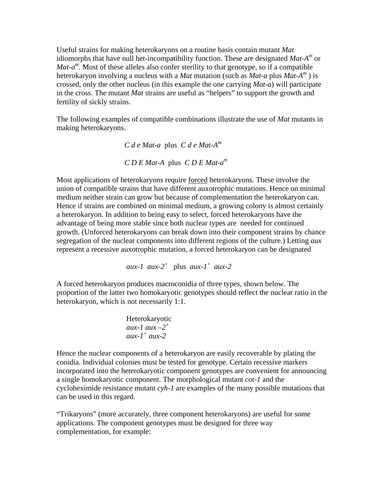Useful strains for making heterokaryons on a routine basis contain mutant *Mat* idiomorphs that have null het-incompatibility function. These are designated *Mat-Am* or *Mat-a*<sup>m</sup>. Most of these alleles also confer sterility to that genotype, so if a compatible heterokaryon involving a nucleus with a *Mat* mutation (such as *Mat-a* plus *Mat-Am* ) is crossed, only the other nucleus (in this example the one carrying *Mat-a*) will participate in the cross. The mutant *Mat* strains are useful as "helpers" to support the growth and fertility of sickly strains.

The following examples of compatible combinations illustrate the use of *Mat* mutants in making heterokaryons.

 *C d e Mat-a* plus *C d e Mat-Am*

*C D E Mat-A* plus *C D E Mat-am*

Most applications of heterokaryons require forced heterokaryons. These involve the union of compatible strains that have different auxotrophic mutations. Hence on minimal medium neither strain can grow but because of complementation the heterokaryon can. Hence if strains are combined on minimal medium, a growing colony is almost certainly a heterokaryon. In addition to being easy to select, forced heterokaryons have the advantage of being more stable since both nuclear types are needed for continued growth. (Unforced heterokaryons can break down into their component strains by chance segregation of the nuclear components into different regions of the culture.) Letting *aux* represent a recessive auxotrophic mutation, a forced heterokaryon can be designated

*aux-1 aux-2<sup>+</sup>* plus *aux-1<sup>+</sup> aux-2* 

A forced heterokaryon produces macroconidia of three types, shown below. The proportion of the latter two homokaryotic genotypes should reflect the nuclear ratio in the heterokaryon, which is not necessarily 1:1.

 Heterokaryotic *aux-1 aux –2<sup>+</sup> aux-1+ aux-2* 

Hence the nuclear components of a heterokaryon are easily recoverable by plating the conidia. Individual colonies must be tested for genotype. Certain recessive markers incorporated into the heterokaryotic component genotypes are convenient for announcing a single homokaryotic component. The morphological mutant *cot-1* and the cycloheximide resistance mutant *cyh-1* are examples of the many possible mutations that can be used in this regard.

"Trikaryons" (more accurately, three component heterokaryons) are useful for some applications. The component genotypes must be designed for three way complementation, for example: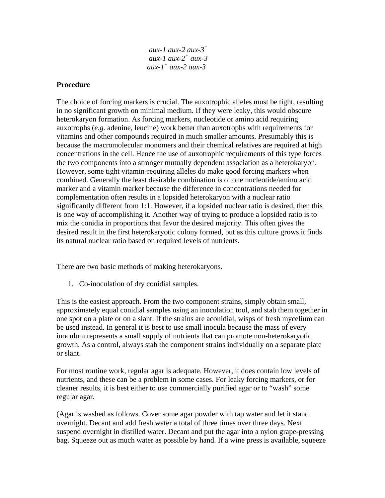| aux-1 aux-2 aux-3 <sup>+</sup> |
|--------------------------------|
| aux-1 aux-2 <sup>+</sup> aux-3 |
| aux-1 <sup>+</sup> aux-2 aux-3 |

## **Procedure**

The choice of forcing markers is crucial. The auxotrophic alleles must be tight, resulting in no significant growth on minimal medium. If they were leaky, this would obscure heterokaryon formation. As forcing markers, nucleotide or amino acid requiring auxotrophs (*e.g*. adenine, leucine) work better than auxotrophs with requirements for vitamins and other compounds required in much smaller amounts. Presumably this is because the macromolecular monomers and their chemical relatives are required at high concentrations in the cell. Hence the use of auxotrophic requirements of this type forces the two components into a stronger mutually dependent association as a heterokaryon. However, some tight vitamin-requiring alleles do make good forcing markers when combined. Generally the least desirable combination is of one nucleotide/amino acid marker and a vitamin marker because the difference in concentrations needed for complementation often results in a lopsided heterokaryon with a nuclear ratio significantly different from 1:1. However, if a lopsided nuclear ratio is desired, then this is one way of accomplishing it. Another way of trying to produce a lopsided ratio is to mix the conidia in proportions that favor the desired majority. This often gives the desired result in the first heterokaryotic colony formed, but as this culture grows it finds its natural nuclear ratio based on required levels of nutrients.

There are two basic methods of making heterokaryons.

1. Co-inoculation of dry conidial samples.

This is the easiest approach. From the two component strains, simply obtain small, approximately equal conidial samples using an inoculation tool, and stab them together in one spot on a plate or on a slant. If the strains are aconidial, wisps of fresh mycelium can be used instead. In general it is best to use small inocula because the mass of every inoculum represents a small supply of nutrients that can promote non-heterokaryotic growth. As a control, always stab the component strains individually on a separate plate or slant.

For most routine work, regular agar is adequate. However, it does contain low levels of nutrients, and these can be a problem in some cases. For leaky forcing markers, or for cleaner results, it is best either to use commercially purified agar or to "wash" some regular agar.

(Agar is washed as follows. Cover some agar powder with tap water and let it stand overnight. Decant and add fresh water a total of three times over three days. Next suspend overnight in distilled water. Decant and put the agar into a nylon grape-pressing bag. Squeeze out as much water as possible by hand. If a wine press is available, squeeze